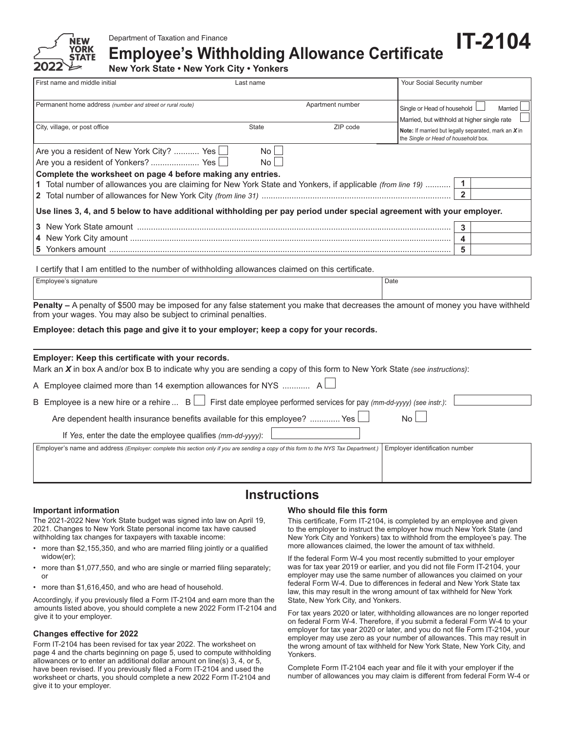

Department of Taxation and Finance

**Employee's Withholding Allowance Certificate** 

**New York State • New York City • Yonkers**

| First name and middle initial                                                                                                                                                                                                                                       | Your Social Security number |                              |                                                                                              |
|---------------------------------------------------------------------------------------------------------------------------------------------------------------------------------------------------------------------------------------------------------------------|-----------------------------|------------------------------|----------------------------------------------------------------------------------------------|
| Permanent home address (number and street or rural route)<br>City, village, or post office                                                                                                                                                                          | <b>State</b>                | Apartment number<br>ZIP code | Single or Head of household<br>Married<br>Married, but withhold at higher single rate        |
|                                                                                                                                                                                                                                                                     |                             |                              | Note: If married but legally separated, mark an X in<br>the Single or Head of household box. |
| Are you a resident of New York City?  Yes  <br>Are you a resident of Yonkers?  Yes<br>Complete the worksheet on page 4 before making any entries.<br>1 Total number of allowances you are claiming for New York State and Yonkers, if applicable (from line 19)  [1 | No.<br>No l                 |                              | $\overline{\mathbf{2}}$                                                                      |
| $\vert$ Use lines 3, 4, and 5 below to have additional withholding per pay period under special agreement with your employer.                                                                                                                                       |                             |                              |                                                                                              |
|                                                                                                                                                                                                                                                                     |                             |                              | 3                                                                                            |
|                                                                                                                                                                                                                                                                     |                             |                              | 4                                                                                            |
|                                                                                                                                                                                                                                                                     |                             |                              | 5                                                                                            |

I certify that I am entitled to the number of withholding allowances claimed on this certificate.

|        | <b>Employee's signature</b> | $\overline{\phantom{0}}$ |          |                             |  |  |          | Date     |  |   |     |
|--------|-----------------------------|--------------------------|----------|-----------------------------|--|--|----------|----------|--|---|-----|
|        |                             |                          |          |                             |  |  |          |          |  |   |     |
| $\sim$ | . .                         |                          | $\cdots$ | $\sim$ $\sim$ $\sim$ $\sim$ |  |  | $\cdots$ | $\cdots$ |  | . | . . |

**Penalty –** A penalty of \$500 may be imposed for any false statement you make that decreases the amount of money you have withheld from your wages. You may also be subject to criminal penalties.

#### **Employee: detach this page and give it to your employer; keep a copy for your records.**

#### **Employer: Keep this certificate with your records.**

Mark an *X* in box A and/or box B to indicate why you are sending a copy of this form to New York State *(see instructions)*:

| A Employee claimed more than 14 exemption allowances for NYS $A \Box$                                                                                                         |
|-------------------------------------------------------------------------------------------------------------------------------------------------------------------------------|
| B Employee is a new hire or a rehire $B \Box$ First date employee performed services for pay (mm-dd-yyyy) (see instr.):                                                       |
| Are dependent health insurance benefits available for this employee?  Yes $\Box$<br>N <sub>0</sub>                                                                            |
| If Yes, enter the date the employee qualifies (mm-dd-yyyy):                                                                                                                   |
| <b>Employer identification number</b><br>Employer's name and address (Employer: complete this section only if you are sending a copy of this form to the NYS Tax Department.) |
|                                                                                                                                                                               |

# **Instructions**

#### **Important information**

The 2021-2022 New York State budget was signed into law on April 19, 2021. Changes to New York State personal income tax have caused withholding tax changes for taxpayers with taxable income:

- more than \$2,155,350, and who are married filing jointly or a qualified widow(er);
- more than \$1,077,550, and who are single or married filing separately; or
- more than \$1,616,450, and who are head of household.

Accordingly, if you previously filed a Form IT-2104 and earn more than the amounts listed above, you should complete a new 2022 Form IT-2104 and give it to your employer.

### **Changes effective for 2022**

Form IT-2104 has been revised for tax year 2022. The worksheet on page 4 and the charts beginning on page 5, used to compute withholding allowances or to enter an additional dollar amount on line(s) 3, 4, or 5, have been revised. If you previously filed a Form IT-2104 and used the worksheet or charts, you should complete a new 2022 Form IT-2104 and give it to your employer.

### **Who should file this form**

This certificate, Form IT-2104, is completed by an employee and given to the employer to instruct the employer how much New York State (and New York City and Yonkers) tax to withhold from the employee's pay. The more allowances claimed, the lower the amount of tax withheld.

**1T-2104** 

If the federal Form W-4 you most recently submitted to your employer was for tax year 2019 or earlier, and you did not file Form IT-2104, your employer may use the same number of allowances you claimed on your federal Form W-4. Due to differences in federal and New York State tax law, this may result in the wrong amount of tax withheld for New York State, New York City, and Yonkers.

For tax years 2020 or later, withholding allowances are no longer reported on federal Form W-4. Therefore, if you submit a federal Form W-4 to your employer for tax year 2020 or later, and you do not file Form IT-2104, your employer may use zero as your number of allowances. This may result in the wrong amount of tax withheld for New York State, New York City, and Yonkers.

Complete Form IT-2104 each year and file it with your employer if the number of allowances you may claim is different from federal Form W-4 or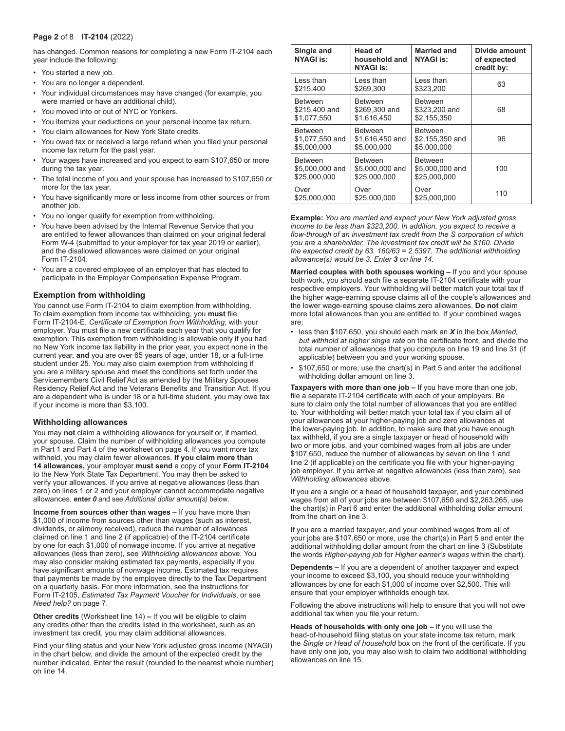#### **Page 2** of 8 **IT-2104** (2022)

has changed. Common reasons for completing a new Form IT-2104 each year include the following:

- You started a new job.
- You are no longer a dependent.
- Your individual circumstances may have changed (for example, you were married or have an additional child).
- You moved into or out of NYC or Yonkers.
- You itemize your deductions on your personal income tax return.
- You claim allowances for New York State credits.
- You owed tax or received a large refund when you filed your personal income tax return for the past year.
- Your wages have increased and you expect to earn \$107,650 or more during the tax year.
- The total income of you and your spouse has increased to \$107,650 or more for the tax year.
- You have significantly more or less income from other sources or from another job.
- You no longer qualify for exemption from withholding.
- You have been advised by the Internal Revenue Service that you are entitled to fewer allowances than claimed on your original federal Form W-4 (submitted to your employer for tax year 2019 or earlier), and the disallowed allowances were claimed on your original Form IT-2104.
- You are a covered employee of an employer that has elected to participate in the Employer Compensation Expense Program.

#### **Exemption from withholding**

You cannot use Form IT-2104 to claim exemption from withholding. To claim exemption from income tax withholding, you must file Form IT-2104-E, Certificate of Exemption from Withholding, with your employer. You must file a new certificate each year that you qualify for exemption. This exemption from withholding is allowable only if you had no New York income tax liability in the prior year, you expect none in the current year, **and** you are over 65 years of age, under 18, or a full-time student under 25. You may also claim exemption from withholding if you are a military spouse and meet the conditions set forth under the Servicemembers Civil Relief Act as amended by the Military Spouses Residency Relief Act and the Veterans Benefits and Transition Act. If you are a dependent who is under 18 or a full-time student, you may owe tax if your income is more than \$3,100.

#### **Withholding allowances**

You may **not** claim a withholding allowance for yourself or, if married, your spouse. Claim the number of withholding allowances you compute in Part 1 and Part 4 of the worksheet on page 4. If you want more tax withheld, you may claim fewer allowances. **If you claim more than**  14 allowances, your employer must send a copy of your Form IT-2104 to the New York State Tax Department. You may then be asked to verify your allowances. If you arrive at negative allowances (less than zero) on lines 1 or 2 and your employer cannot accommodate negative allowances, **enter** *0* and see *Additional dollar amount(s)* below.

**Income from sources other than wages –** If you have more than \$1,000 of income from sources other than wages (such as interest, dividends, or alimony received), reduce the number of allowances claimed on line 1 and line 2 (if applicable) of the IT-2104 certificate by one for each \$1,000 of nonwage income. If you arrive at negative allowances (less than zero), see Withholding allowances above. You may also consider making estimated tax payments, especially if you have significant amounts of nonwage income. Estimated tax requires that payments be made by the employee directly to the Tax Department on a quarterly basis. For more information, see the instructions for Form IT-2105, Estimated Tax Payment Voucher for Individuals, or see *Need help?* on page 7.

**Other credits** (Worksheet line 14) – If you will be eligible to claim any credits other than the credits listed in the worksheet, such as an investment tax credit, you may claim additional allowances.

Find your filing status and your New York adjusted gross income (NYAGI) in the chart below, and divide the amount of the expected credit by the number indicated. Enter the result (rounded to the nearest whole number) on line 14.

| Single and<br><b>NYAGI is:</b> | <b>Head of</b><br>household and<br><b>NYAGI is:</b> | <b>Married and</b><br><b>NYAGI is:</b> | Divide amount<br>of expected<br>credit by: |
|--------------------------------|-----------------------------------------------------|----------------------------------------|--------------------------------------------|
| I ess than                     | I ess than                                          | I ess than                             | 63                                         |
| \$215.400                      | \$269.300                                           | \$323.200                              |                                            |
| <b>Between</b>                 | <b>Between</b>                                      | <b>Between</b>                         | 68                                         |
| \$215,400 and                  | \$269,300 and                                       | \$323,200 and                          |                                            |
| \$1.077.550                    | \$1.616.450                                         | \$2.155.350                            |                                            |
| <b>Between</b>                 | <b>Between</b>                                      | <b>Between</b>                         | 96                                         |
| \$1,077,550 and                | \$1,616,450 and                                     | \$2,155,350 and                        |                                            |
| \$5.000.000                    | \$5.000.000                                         | \$5.000.000                            |                                            |
| <b>Between</b>                 | <b>Between</b>                                      | <b>Between</b>                         | 100                                        |
| \$5,000,000 and                | \$5,000,000 and                                     | \$5,000,000 and                        |                                            |
| \$25,000,000                   | \$25,000,000                                        | \$25,000,000                           |                                            |
| Over                           | Over                                                | Over                                   | 110                                        |
| \$25,000,000                   | \$25,000,000                                        | \$25,000,000                           |                                            |

**Example:** You are married and expect your New York adjusted gross *income to be less than \$323,200. In addition, you expect to receive a*  flow-through of an investment tax credit from the S corporation of which you are a shareholder. The investment tax credit will be \$160. Divide *the expected credit by 63. 160/63 = 2.5397. The additional withholding* allowance(s) would be 3. Enter 3 on line 14.

**Married couples with both spouses working –** If you and your spouse both work, you should each file a separate IT-2104 certificate with your respective employers. Your withholding will better match your total tax if the higher wage-earning spouse claims all of the couple's allowances and the lower wage-earning spouse claims zero allowances. **Do not** claim more total allowances than you are entitled to. If your combined wages are:

- less than \$107,650, you should each mark an *X* in the box *Married,*  but withhold at higher single rate on the certificate front, and divide the total number of allowances that you compute on line 19 and line 31 (if applicable) between you and your working spouse.
- \$107,650 or more, use the chart(s) in Part 5 and enter the additional withholding dollar amount on line 3.

**Taxpayers with more than one job –** If you have more than one job, file a separate IT-2104 certificate with each of your employers. Be sure to claim only the total number of allowances that you are entitled to. Your withholding will better match your total tax if you claim all of your allowances at your higher-paying job and zero allowances at the lower-paying job. In addition, to make sure that you have enough tax withheld, if you are a single taxpayer or head of household with two or more jobs, and your combined wages from all jobs are under \$107,650, reduce the number of allowances by seven on line 1 and line 2 (if applicable) on the certificate you file with your higher-paying job employer. If you arrive at negative allowances (less than zero), see *Withholding allowances above.* 

If you are a single or a head of household taxpayer, and your combined wages from all of your jobs are between \$107,650 and \$2,263,265, use the chart(s) in Part 6 and enter the additional withholding dollar amount from the chart on line 3.

If you are a married taxpayer, and your combined wages from all of your jobs are \$107,650 or more, use the chart(s) in Part 5 and enter the additional withholding dollar amount from the chart on line 3 (Substitute the words *Higher-paying job* for *Higher earner's wages* within the chart).

**Dependents – If you are a dependent of another taxpayer and expect** your income to exceed \$3,100, you should reduce your withholding allowances by one for each \$1,000 of income over \$2,500. This will ensure that your employer withholds enough tax.

Following the above instructions will help to ensure that you will not owe additional tax when you file your return.

**Heads of households with only one job – If you will use the** head-of-household filing status on your state income tax return, mark the *Single or Head of household* box on the front of the certificate. If you have only one job, you may also wish to claim two additional withholding allowances on line 15.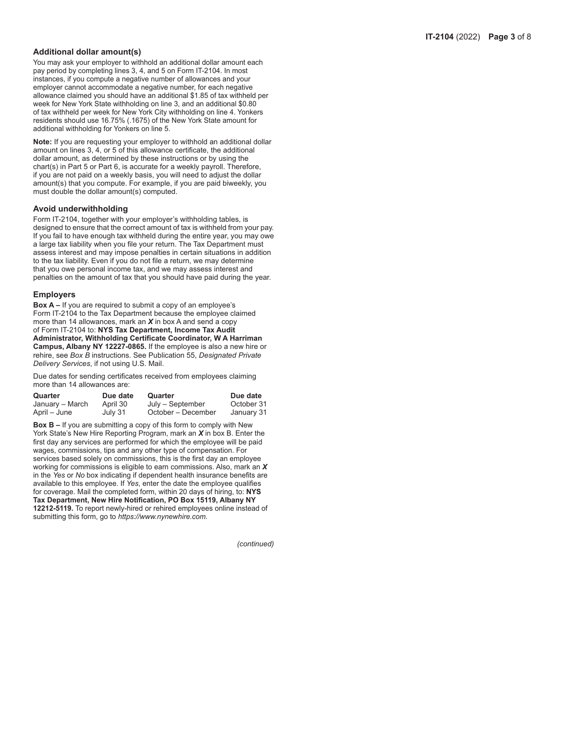#### **Additional dollar amount(s)**

You may ask your employer to withhold an additional dollar amount each pay period by completing lines 3, 4, and 5 on Form IT-2104. In most instances, if you compute a negative number of allowances and your employer cannot accommodate a negative number, for each negative allowance claimed you should have an additional \$1.85 of tax withheld per week for New York State withholding on line 3, and an additional \$0.80 of tax withheld per week for New York City withholding on line 4. Yonkers residents should use 16.75% (.1675) of the New York State amount for additional withholding for Yonkers on line 5.

Note: If you are requesting your employer to withhold an additional dollar amount on lines 3, 4, or 5 of this allowance certificate, the additional dollar amount, as determined by these instructions or by using the chart(s) in Part 5 or Part 6, is accurate for a weekly payroll. Therefore, if you are not paid on a weekly basis, you will need to adjust the dollar amount(s) that you compute. For example, if you are paid biweekly, you must double the dollar amount(s) computed.

#### **Avoid underwithholding**

Form IT-2104, together with your employer's withholding tables, is designed to ensure that the correct amount of tax is withheld from your pay. If you fail to have enough tax withheld during the entire year, you may owe a large tax liability when you file your return. The Tax Department must assess interest and may impose penalties in certain situations in addition to the tax liability. Even if you do not file a return, we may determine that you owe personal income tax, and we may assess interest and penalties on the amount of tax that you should have paid during the year.

#### **Employers**

Box A - If you are required to submit a copy of an employee's Form IT-2104 to the Tax Department because the employee claimed more than 14 allowances, mark an *X* in box A and send a copy of Form IT-2104 to: NYS Tax Department, Income Tax Audit Administrator, Withholding Certificate Coordinator, W A Harriman Campus, Albany NY 12227-0865. If the employee is also a new hire or rehire, see *Box B* instructions. See Publication 55, *Designated Private Delivery Services*, if not using U.S. Mail.

Due dates for sending certificates received from employees claiming more than 14 allowances are:

| Quarter         | Due date | Quarter            | Due date   |
|-----------------|----------|--------------------|------------|
| January – March | April 30 | July – September   | October 31 |
| April – June    | July 31  | October – December | January 31 |

**Box B – If you are submitting a copy of this form to comply with New** York State's New Hire Reporting Program, mark an X in box B. Enter the first day any services are performed for which the employee will be paid wages, commissions, tips and any other type of compensation. For services based solely on commissions, this is the first day an employee working for commissions is eligible to earn commissions. Also, mark an *X* in the Yes or *No* box indicating if dependent health insurance benefits are available to this employee. If Yes, enter the date the employee qualifies for coverage. Mail the completed form, within 20 days of hiring, to: **NYS**  Tax Department, New Hire Notification, PO Box 15119, Albany NY 12212-5119. To report newly-hired or rehired employees online instead of submitting this form, go to *https://www.nynewhire.com.* 

*(continued)*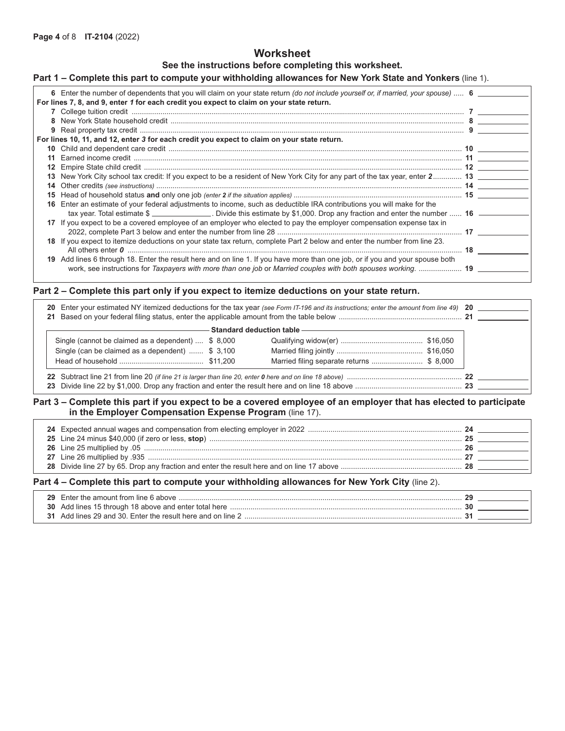# **Worksheet**

## **See the instructions before completing this worksheet.**

# **Part 1 – Complete this part to compute your withholding allowances for New York State and Yonkers** (line 1).

|    | 6 Enter the number of dependents that you will claim on your state return (do not include yourself or, if married, your spouse)  6   |  |
|----|--------------------------------------------------------------------------------------------------------------------------------------|--|
|    | For lines 7, 8, and 9, enter 1 for each credit you expect to claim on your state return.                                             |  |
|    |                                                                                                                                      |  |
|    |                                                                                                                                      |  |
|    |                                                                                                                                      |  |
|    | For lines 10, 11, and 12, enter 3 for each credit you expect to claim on your state return.                                          |  |
|    |                                                                                                                                      |  |
|    |                                                                                                                                      |  |
|    |                                                                                                                                      |  |
|    | 13 New York City school tax credit: If you expect to be a resident of New York City for any part of the tax year, enter 2 13         |  |
|    |                                                                                                                                      |  |
| 15 |                                                                                                                                      |  |
| 16 | Enter an estimate of your federal adjustments to income, such as deductible IRA contributions you will make for the                  |  |
|    | tax year. Total estimate $\frac{1}{2}$ ________________. Divide this estimate by \$1,000. Drop any fraction and enter the number  16 |  |
|    | 17 If you expect to be a covered employee of an employer who elected to pay the employer compensation expense tax in                 |  |
|    |                                                                                                                                      |  |
|    | 18 If you expect to itemize deductions on your state tax return, complete Part 2 below and enter the number from line 23.            |  |
|    |                                                                                                                                      |  |
| 19 | Add lines 6 through 18. Enter the result here and on line 1. If you have more than one job, or if you and your spouse both           |  |
|    | work, see instructions for Taxpayers with more than one job or Married couples with both spouses working.  19                        |  |

# **Part 2 – Complete this part only if you expect to itemize deductions on your state return.**

|                                                    | Standard deduction table —————————       |
|----------------------------------------------------|------------------------------------------|
| Single (cannot be claimed as a dependent)  \$8,000 |                                          |
| Single (can be claimed as a dependent)  \$ 3,100   |                                          |
|                                                    | Married filing separate returns \$ 8,000 |

## **Part 3 – Complete this part if you expect to be a covered employee of an employer that has elected to participate in the Employer Compensation Expense Program** (line 17).

# Part 4 - Complete this part to compute your withholding allowances for New York City (line 2).

| 29  | Fnter the amount from line $6$ above                     |  |
|-----|----------------------------------------------------------|--|
| 30. | Add lines 15 through 18 above and enter total here       |  |
|     | Add lines 29 and 30. Enter the result here and on line 2 |  |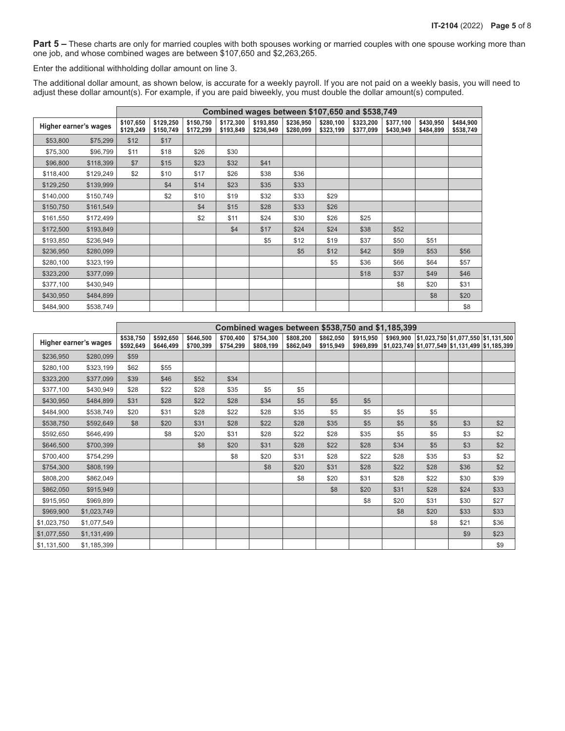Part 5 – These charts are only for married couples with both spouses working or married couples with one spouse working more than one job, and whose combined wages are between \$107,650 and \$2,263,265.

Enter the additional withholding dollar amount on line 3.

The additional dollar amount, as shown below, is accurate for a weekly payroll. If you are not paid on a weekly basis, you will need to adjust these dollar amount(s). For example, if you are paid biweekly, you must double the dollar amount(s) computed.

|                       |           |                        | Combined wages between \$107,650 and \$538,749 |                        |                        |                        |                        |                        |                        |                        |                        |                        |
|-----------------------|-----------|------------------------|------------------------------------------------|------------------------|------------------------|------------------------|------------------------|------------------------|------------------------|------------------------|------------------------|------------------------|
| Higher earner's wages |           | \$107,650<br>\$129,249 | \$129,250<br>\$150,749                         | \$150,750<br>\$172,299 | \$172,300<br>\$193,849 | \$193,850<br>\$236,949 | \$236,950<br>\$280,099 | \$280,100<br>\$323,199 | \$323,200<br>\$377,099 | \$377,100<br>\$430,949 | \$430,950<br>\$484,899 | \$484,900<br>\$538,749 |
| \$53,800              | \$75,299  | \$12                   | \$17                                           |                        |                        |                        |                        |                        |                        |                        |                        |                        |
| \$75,300              | \$96,799  | \$11                   | \$18                                           | \$26                   | \$30                   |                        |                        |                        |                        |                        |                        |                        |
| \$96,800              | \$118,399 | \$7                    | \$15                                           | \$23                   | \$32                   | \$41                   |                        |                        |                        |                        |                        |                        |
| \$118,400             | \$129,249 | \$2                    | \$10                                           | \$17                   | \$26                   | \$38                   | \$36                   |                        |                        |                        |                        |                        |
| \$129,250             | \$139,999 |                        | \$4                                            | \$14                   | \$23                   | \$35                   | \$33                   |                        |                        |                        |                        |                        |
| \$140,000             | \$150,749 |                        | \$2                                            | \$10                   | \$19                   | \$32                   | \$33                   | \$29                   |                        |                        |                        |                        |
| \$150,750             | \$161,549 |                        |                                                | \$4                    | \$15                   | \$28                   | \$33                   | \$26                   |                        |                        |                        |                        |
| \$161,550             | \$172,499 |                        |                                                | \$2                    | \$11                   | \$24                   | \$30                   | \$26                   | \$25                   |                        |                        |                        |
| \$172,500             | \$193,849 |                        |                                                |                        | \$4                    | \$17                   | \$24                   | \$24                   | \$38                   | \$52                   |                        |                        |
| \$193,850             | \$236,949 |                        |                                                |                        |                        | \$5                    | \$12                   | \$19                   | \$37                   | \$50                   | \$51                   |                        |
| \$236,950             | \$280,099 |                        |                                                |                        |                        |                        | \$5                    | \$12                   | \$42                   | \$59                   | \$53                   | \$56                   |
| \$280,100             | \$323,199 |                        |                                                |                        |                        |                        |                        | \$5                    | \$36                   | \$66                   | \$64                   | \$57                   |
| \$323,200             | \$377,099 |                        |                                                |                        |                        |                        |                        |                        | \$18                   | \$37                   | \$49                   | \$46                   |
| \$377,100             | \$430,949 |                        |                                                |                        |                        |                        |                        |                        |                        | \$8                    | \$20                   | \$31                   |
| \$430,950             | \$484,899 |                        |                                                |                        |                        |                        |                        |                        |                        |                        | \$8                    | \$20                   |
| \$484,900             | \$538,749 |                        |                                                |                        |                        |                        |                        |                        |                        |                        |                        | \$8                    |

|             |                       |                        | Combined wages between \$538,750 and \$1,185,399 |                        |                        |                        |                        |                        |           |      |                                                                                                                 |      |      |
|-------------|-----------------------|------------------------|--------------------------------------------------|------------------------|------------------------|------------------------|------------------------|------------------------|-----------|------|-----------------------------------------------------------------------------------------------------------------|------|------|
|             | Higher earner's wages | \$538,750<br>\$592,649 | \$592,650<br>\$646,499                           | \$646,500<br>\$700,399 | \$700,400<br>\$754,299 | \$754,300<br>\$808,199 | \$808,200<br>\$862,049 | \$862,050<br>\$915,949 | \$915,950 |      | \$969,900 \$1,023,750 \$1,077,550 \$1,131,500<br>$$969,899$ $$1,023,749$ $$1,077,549$ $$1,131,499$ $$1,185,399$ |      |      |
| \$236,950   | \$280,099             | \$59                   |                                                  |                        |                        |                        |                        |                        |           |      |                                                                                                                 |      |      |
| \$280,100   | \$323,199             | \$62                   | \$55                                             |                        |                        |                        |                        |                        |           |      |                                                                                                                 |      |      |
| \$323,200   | \$377,099             | \$39                   | \$46                                             | \$52                   | \$34                   |                        |                        |                        |           |      |                                                                                                                 |      |      |
| \$377,100   | \$430,949             | \$28                   | \$22                                             | \$28                   | \$35                   | \$5                    | \$5                    |                        |           |      |                                                                                                                 |      |      |
| \$430,950   | \$484,899             | \$31                   | \$28                                             | \$22                   | \$28                   | \$34                   | \$5                    | \$5                    | \$5       |      |                                                                                                                 |      |      |
| \$484,900   | \$538,749             | \$20                   | \$31                                             | \$28                   | \$22                   | \$28                   | \$35                   | \$5                    | \$5       | \$5  | \$5                                                                                                             |      |      |
| \$538,750   | \$592,649             | \$8                    | \$20                                             | \$31                   | \$28                   | \$22                   | \$28                   | \$35                   | \$5       | \$5  | \$5                                                                                                             | \$3  | \$2  |
| \$592,650   | \$646,499             |                        | \$8                                              | \$20                   | \$31                   | \$28                   | \$22                   | \$28                   | \$35      | \$5  | \$5                                                                                                             | \$3  | \$2  |
| \$646,500   | \$700,399             |                        |                                                  | \$8                    | \$20                   | \$31                   | \$28                   | \$22                   | \$28      | \$34 | \$5                                                                                                             | \$3  | \$2  |
| \$700,400   | \$754,299             |                        |                                                  |                        | \$8                    | \$20                   | \$31                   | \$28                   | \$22      | \$28 | \$35                                                                                                            | \$3  | \$2  |
| \$754,300   | \$808,199             |                        |                                                  |                        |                        | \$8                    | \$20                   | \$31                   | \$28      | \$22 | \$28                                                                                                            | \$36 | \$2  |
| \$808,200   | \$862,049             |                        |                                                  |                        |                        |                        | \$8                    | \$20                   | \$31      | \$28 | \$22                                                                                                            | \$30 | \$39 |
| \$862,050   | \$915,949             |                        |                                                  |                        |                        |                        |                        | \$8                    | \$20      | \$31 | \$28                                                                                                            | \$24 | \$33 |
| \$915,950   | \$969,899             |                        |                                                  |                        |                        |                        |                        |                        | \$8       | \$20 | \$31                                                                                                            | \$30 | \$27 |
| \$969,900   | \$1,023,749           |                        |                                                  |                        |                        |                        |                        |                        |           | \$8  | \$20                                                                                                            | \$33 | \$33 |
| \$1,023,750 | \$1,077,549           |                        |                                                  |                        |                        |                        |                        |                        |           |      | \$8                                                                                                             | \$21 | \$36 |
| \$1,077,550 | \$1,131,499           |                        |                                                  |                        |                        |                        |                        |                        |           |      |                                                                                                                 | \$9  | \$23 |
| \$1,131,500 | \$1,185,399           |                        |                                                  |                        |                        |                        |                        |                        |           |      |                                                                                                                 |      | \$9  |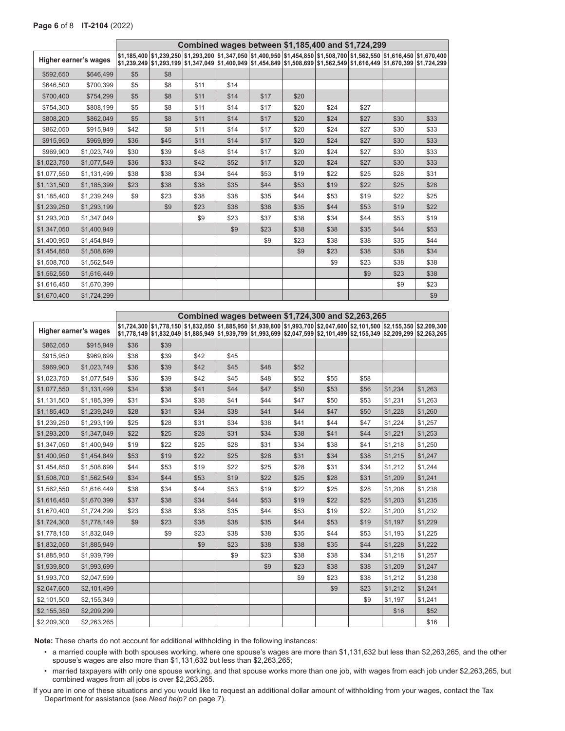|             |                       |      |      | Combined wages between \$1,185,400 and \$1,724,299 |      |      |      |      |      |                                                                                                                                                                                                                                                    |      |
|-------------|-----------------------|------|------|----------------------------------------------------|------|------|------|------|------|----------------------------------------------------------------------------------------------------------------------------------------------------------------------------------------------------------------------------------------------------|------|
|             | Higher earner's wages |      |      |                                                    |      |      |      |      |      | \$1,185,400 \$1,239,250 \$1,293,200 \$1,347,050 \$1,400,950 \$1,454,850 \$1,508,700 \$1,562,550 \$1,616,450 \$1,670,400<br>\$1,239,249 \$1,293,199 \$1,347,049 \$1,400,949 \$1,454,849 \$1,508,699 \$1,562,549 \$1,616,449 \$1,670,399 \$1,724,299 |      |
| \$592,650   | \$646,499             | \$5  | \$8  |                                                    |      |      |      |      |      |                                                                                                                                                                                                                                                    |      |
| \$646,500   | \$700,399             | \$5  | \$8  | \$11                                               | \$14 |      |      |      |      |                                                                                                                                                                                                                                                    |      |
| \$700,400   | \$754,299             | \$5  | \$8  | \$11                                               | \$14 | \$17 | \$20 |      |      |                                                                                                                                                                                                                                                    |      |
| \$754,300   | \$808,199             | \$5  | \$8  | \$11                                               | \$14 | \$17 | \$20 | \$24 | \$27 |                                                                                                                                                                                                                                                    |      |
| \$808,200   | \$862,049             | \$5  | \$8  | \$11                                               | \$14 | \$17 | \$20 | \$24 | \$27 | \$30                                                                                                                                                                                                                                               | \$33 |
| \$862,050   | \$915,949             | \$42 | \$8  | \$11                                               | \$14 | \$17 | \$20 | \$24 | \$27 | \$30                                                                                                                                                                                                                                               | \$33 |
| \$915,950   | \$969,899             | \$36 | \$45 | \$11                                               | \$14 | \$17 | \$20 | \$24 | \$27 | \$30                                                                                                                                                                                                                                               | \$33 |
| \$969,900   | \$1,023,749           | \$30 | \$39 | \$48                                               | \$14 | \$17 | \$20 | \$24 | \$27 | \$30                                                                                                                                                                                                                                               | \$33 |
| \$1,023,750 | \$1,077,549           | \$36 | \$33 | \$42                                               | \$52 | \$17 | \$20 | \$24 | \$27 | \$30                                                                                                                                                                                                                                               | \$33 |
| \$1,077,550 | \$1,131,499           | \$38 | \$38 | \$34                                               | \$44 | \$53 | \$19 | \$22 | \$25 | \$28                                                                                                                                                                                                                                               | \$31 |
| \$1,131,500 | \$1,185,399           | \$23 | \$38 | \$38                                               | \$35 | \$44 | \$53 | \$19 | \$22 | \$25                                                                                                                                                                                                                                               | \$28 |
| \$1,185,400 | \$1,239,249           | \$9  | \$23 | \$38                                               | \$38 | \$35 | \$44 | \$53 | \$19 | \$22                                                                                                                                                                                                                                               | \$25 |
| \$1,239,250 | \$1,293,199           |      | \$9  | \$23                                               | \$38 | \$38 | \$35 | \$44 | \$53 | \$19                                                                                                                                                                                                                                               | \$22 |
| \$1,293,200 | \$1,347,049           |      |      | \$9                                                | \$23 | \$37 | \$38 | \$34 | \$44 | \$53                                                                                                                                                                                                                                               | \$19 |
| \$1,347,050 | \$1,400,949           |      |      |                                                    | \$9  | \$23 | \$38 | \$38 | \$35 | \$44                                                                                                                                                                                                                                               | \$53 |
| \$1,400,950 | \$1,454,849           |      |      |                                                    |      | \$9  | \$23 | \$38 | \$38 | \$35                                                                                                                                                                                                                                               | \$44 |
| \$1,454,850 | \$1,508,699           |      |      |                                                    |      |      | \$9  | \$23 | \$38 | \$38                                                                                                                                                                                                                                               | \$34 |
| \$1,508,700 | \$1,562,549           |      |      |                                                    |      |      |      | \$9  | \$23 | \$38                                                                                                                                                                                                                                               | \$38 |
| \$1,562,550 | \$1,616,449           |      |      |                                                    |      |      |      |      | \$9  | \$23                                                                                                                                                                                                                                               | \$38 |
| \$1,616,450 | \$1,670,399           |      |      |                                                    |      |      |      |      |      | \$9                                                                                                                                                                                                                                                | \$23 |
| \$1,670,400 | \$1,724,299           |      |      |                                                    |      |      |      |      |      |                                                                                                                                                                                                                                                    | \$9  |

|                       |             | Combined wages between \$1,724,300 and \$2,263,265 |                                                                                                                                                                                                                                                    |      |      |      |      |      |      |         |         |
|-----------------------|-------------|----------------------------------------------------|----------------------------------------------------------------------------------------------------------------------------------------------------------------------------------------------------------------------------------------------------|------|------|------|------|------|------|---------|---------|
| Higher earner's wages |             |                                                    | \$1,724,300 \$1,778,150 \$1,832,050 \$1,885,950 \$1,939,800 \$1,993,700 \$2,047,600 \$2,101,500 \$2,155,350 \$2,209,300<br>\$1,778,149 \$1,832,049 \$1,885,949 \$1,939,799 \$1,933,699 \$2,047,599 \$2,101,499 \$2,155,349 \$2,209,299 \$2,263,265 |      |      |      |      |      |      |         |         |
| \$862,050             | \$915,949   | \$36                                               | \$39                                                                                                                                                                                                                                               |      |      |      |      |      |      |         |         |
| \$915,950             | \$969,899   | \$36                                               | \$39                                                                                                                                                                                                                                               | \$42 | \$45 |      |      |      |      |         |         |
| \$969,900             | \$1,023,749 | \$36                                               | \$39                                                                                                                                                                                                                                               | \$42 | \$45 | \$48 | \$52 |      |      |         |         |
| \$1,023,750           | \$1,077,549 | \$36                                               | \$39                                                                                                                                                                                                                                               | \$42 | \$45 | \$48 | \$52 | \$55 | \$58 |         |         |
| \$1,077,550           | \$1,131,499 | \$34                                               | \$38                                                                                                                                                                                                                                               | \$41 | \$44 | \$47 | \$50 | \$53 | \$56 | \$1,234 | \$1,263 |
| \$1,131,500           | \$1,185,399 | \$31                                               | \$34                                                                                                                                                                                                                                               | \$38 | \$41 | \$44 | \$47 | \$50 | \$53 | \$1,231 | \$1,263 |
| \$1,185,400           | \$1,239,249 | \$28                                               | \$31                                                                                                                                                                                                                                               | \$34 | \$38 | \$41 | \$44 | \$47 | \$50 | \$1,228 | \$1,260 |
| \$1,239,250           | \$1,293,199 | \$25                                               | \$28                                                                                                                                                                                                                                               | \$31 | \$34 | \$38 | \$41 | \$44 | \$47 | \$1,224 | \$1,257 |
| \$1,293,200           | \$1,347,049 | \$22                                               | \$25                                                                                                                                                                                                                                               | \$28 | \$31 | \$34 | \$38 | \$41 | \$44 | \$1,221 | \$1,253 |
| \$1,347,050           | \$1,400,949 | \$19                                               | \$22                                                                                                                                                                                                                                               | \$25 | \$28 | \$31 | \$34 | \$38 | \$41 | \$1,218 | \$1,250 |
| \$1,400,950           | \$1,454,849 | \$53                                               | \$19                                                                                                                                                                                                                                               | \$22 | \$25 | \$28 | \$31 | \$34 | \$38 | \$1,215 | \$1,247 |
| \$1,454,850           | \$1,508,699 | \$44                                               | \$53                                                                                                                                                                                                                                               | \$19 | \$22 | \$25 | \$28 | \$31 | \$34 | \$1,212 | \$1,244 |
| \$1,508,700           | \$1,562,549 | \$34                                               | \$44                                                                                                                                                                                                                                               | \$53 | \$19 | \$22 | \$25 | \$28 | \$31 | \$1,209 | \$1,241 |
| \$1,562,550           | \$1,616,449 | \$38                                               | \$34                                                                                                                                                                                                                                               | \$44 | \$53 | \$19 | \$22 | \$25 | \$28 | \$1,206 | \$1,238 |
| \$1,616,450           | \$1,670,399 | \$37                                               | \$38                                                                                                                                                                                                                                               | \$34 | \$44 | \$53 | \$19 | \$22 | \$25 | \$1,203 | \$1,235 |
| \$1,670,400           | \$1,724,299 | \$23                                               | \$38                                                                                                                                                                                                                                               | \$38 | \$35 | \$44 | \$53 | \$19 | \$22 | \$1,200 | \$1,232 |
| \$1,724,300           | \$1,778,149 | \$9                                                | \$23                                                                                                                                                                                                                                               | \$38 | \$38 | \$35 | \$44 | \$53 | \$19 | \$1,197 | \$1,229 |
| \$1,778,150           | \$1,832,049 |                                                    | \$9                                                                                                                                                                                                                                                | \$23 | \$38 | \$38 | \$35 | \$44 | \$53 | \$1,193 | \$1,225 |
| \$1,832,050           | \$1,885,949 |                                                    |                                                                                                                                                                                                                                                    | \$9  | \$23 | \$38 | \$38 | \$35 | \$44 | \$1,228 | \$1,222 |
| \$1,885,950           | \$1,939,799 |                                                    |                                                                                                                                                                                                                                                    |      | \$9  | \$23 | \$38 | \$38 | \$34 | \$1,218 | \$1,257 |
| \$1,939,800           | \$1,993,699 |                                                    |                                                                                                                                                                                                                                                    |      |      | \$9  | \$23 | \$38 | \$38 | \$1,209 | \$1,247 |
| \$1,993,700           | \$2,047,599 |                                                    |                                                                                                                                                                                                                                                    |      |      |      | \$9  | \$23 | \$38 | \$1,212 | \$1,238 |
| \$2,047,600           | \$2,101,499 |                                                    |                                                                                                                                                                                                                                                    |      |      |      |      | \$9  | \$23 | \$1,212 | \$1,241 |
| \$2,101,500           | \$2,155,349 |                                                    |                                                                                                                                                                                                                                                    |      |      |      |      |      | \$9  | \$1,197 | \$1,241 |
| \$2,155,350           | \$2,209,299 |                                                    |                                                                                                                                                                                                                                                    |      |      |      |      |      |      | \$16    | \$52    |
| \$2,209,300           | \$2,263,265 |                                                    |                                                                                                                                                                                                                                                    |      |      |      |      |      |      |         | \$16    |

**Note:** These charts do not account for additional withholding in the following instances:

 • a married couple with both spouses working, where one spouse's wages are more than \$1,131,632 but less than \$2,263,265, and the other spouse's wages are also more than \$1,131,632 but less than \$2,263,265;

 • married taxpayers with only one spouse working, and that spouse works more than one job, with wages from each job under \$2,263,265, but combined wages from all jobs is over \$2,263,265.

If you are in one of these situations and you would like to request an additional dollar amount of withholding from your wages, contact the Tax Department for assistance (see *Need help?* on page 7).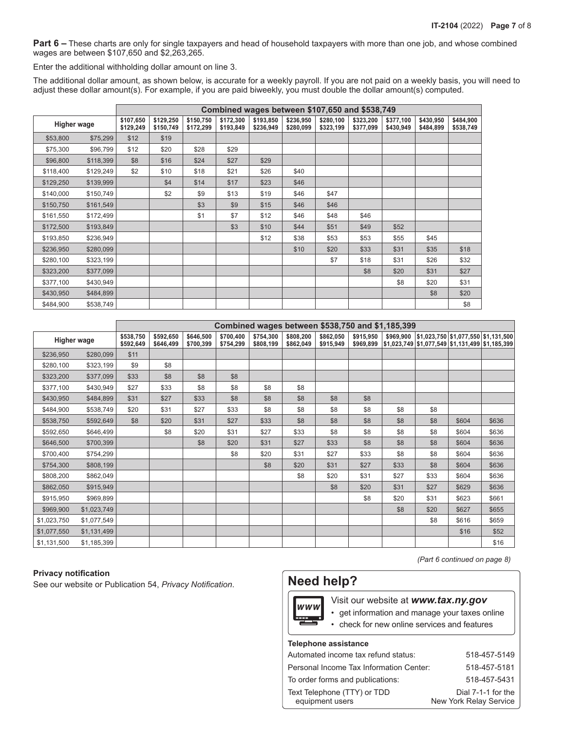**Part 6** – These charts are only for single taxpayers and head of household taxpayers with more than one job, and whose combined wages are between \$107,650 and \$2,263,265.

Enter the additional withholding dollar amount on line 3.

The additional dollar amount, as shown below, is accurate for a weekly payroll. If you are not paid on a weekly basis, you will need to adjust these dollar amount(s). For example, if you are paid biweekly, you must double the dollar amount(s) computed.

|                    |           |                        | Combined wages between \$107,650 and \$538,749 |                        |                        |                        |                        |                        |                        |                        |                        |                        |
|--------------------|-----------|------------------------|------------------------------------------------|------------------------|------------------------|------------------------|------------------------|------------------------|------------------------|------------------------|------------------------|------------------------|
| <b>Higher wage</b> |           | \$107,650<br>\$129,249 | \$129,250<br>\$150,749                         | \$150,750<br>\$172,299 | \$172,300<br>\$193,849 | \$193,850<br>\$236,949 | \$236,950<br>\$280,099 | \$280,100<br>\$323,199 | \$323,200<br>\$377,099 | \$377,100<br>\$430,949 | \$430,950<br>\$484,899 | \$484,900<br>\$538,749 |
| \$53,800           | \$75,299  | \$12                   | \$19                                           |                        |                        |                        |                        |                        |                        |                        |                        |                        |
| \$75,300           | \$96,799  | \$12                   | \$20                                           | \$28                   | \$29                   |                        |                        |                        |                        |                        |                        |                        |
| \$96,800           | \$118,399 | \$8                    | \$16                                           | \$24                   | \$27                   | \$29                   |                        |                        |                        |                        |                        |                        |
| \$118,400          | \$129,249 | \$2                    | \$10                                           | \$18                   | \$21                   | \$26                   | \$40                   |                        |                        |                        |                        |                        |
| \$129,250          | \$139,999 |                        | \$4                                            | \$14                   | \$17                   | \$23                   | \$46                   |                        |                        |                        |                        |                        |
| \$140,000          | \$150,749 |                        | \$2                                            | \$9                    | \$13                   | \$19                   | \$46                   | \$47                   |                        |                        |                        |                        |
| \$150,750          | \$161,549 |                        |                                                | \$3                    | \$9                    | \$15                   | \$46                   | \$46                   |                        |                        |                        |                        |
| \$161,550          | \$172,499 |                        |                                                | \$1                    | \$7                    | \$12                   | \$46                   | \$48                   | \$46                   |                        |                        |                        |
| \$172,500          | \$193,849 |                        |                                                |                        | \$3                    | \$10                   | \$44                   | \$51                   | \$49                   | \$52                   |                        |                        |
| \$193,850          | \$236,949 |                        |                                                |                        |                        | \$12                   | \$38                   | \$53                   | \$53                   | \$55                   | \$45                   |                        |
| \$236,950          | \$280,099 |                        |                                                |                        |                        |                        | \$10                   | \$20                   | \$33                   | \$31                   | \$35                   | \$18                   |
| \$280,100          | \$323,199 |                        |                                                |                        |                        |                        |                        | \$7                    | \$18                   | \$31                   | \$26                   | \$32                   |
| \$323,200          | \$377,099 |                        |                                                |                        |                        |                        |                        |                        | \$8                    | \$20                   | \$31                   | \$27                   |
| \$377,100          | \$430,949 |                        |                                                |                        |                        |                        |                        |                        |                        | \$8                    | \$20                   | \$31                   |
| \$430,950          | \$484,899 |                        |                                                |                        |                        |                        |                        |                        |                        |                        | \$8                    | \$20                   |
| \$484,900          | \$538,749 |                        |                                                |                        |                        |                        |                        |                        |                        |                        |                        | \$8                    |

|                    |             |                        | Combined wages between \$538,750 and \$1,185,399 |                        |                        |                        |                        |                        |                        |           |      |       |                                                                                                |
|--------------------|-------------|------------------------|--------------------------------------------------|------------------------|------------------------|------------------------|------------------------|------------------------|------------------------|-----------|------|-------|------------------------------------------------------------------------------------------------|
| <b>Higher wage</b> |             | \$538,750<br>\$592,649 | \$592,650<br>\$646,499                           | \$646,500<br>\$700,399 | \$700,400<br>\$754,299 | \$754,300<br>\$808,199 | \$808,200<br>\$862,049 | \$862,050<br>\$915,949 | \$915,950<br>\$969,899 | \$969,900 |      |       | $ $1,023,750$ $$1,077,550$ $$1,131,500$<br> \$1,023,749  \$1,077,549  \$1,131,499  \$1,185,399 |
| \$236,950          | \$280,099   | \$11                   |                                                  |                        |                        |                        |                        |                        |                        |           |      |       |                                                                                                |
| \$280,100          | \$323,199   | \$9                    | \$8                                              |                        |                        |                        |                        |                        |                        |           |      |       |                                                                                                |
| \$323,200          | \$377,099   | \$33                   | \$8                                              | \$8                    | \$8                    |                        |                        |                        |                        |           |      |       |                                                                                                |
| \$377,100          | \$430,949   | \$27                   | \$33                                             | \$8                    | \$8                    | \$8                    | \$8                    |                        |                        |           |      |       |                                                                                                |
| \$430,950          | \$484,899   | \$31                   | \$27                                             | \$33                   | \$8                    | \$8                    | \$8                    | \$8                    | \$8                    |           |      |       |                                                                                                |
| \$484,900          | \$538,749   | \$20                   | \$31                                             | \$27                   | \$33                   | \$8                    | \$8                    | \$8                    | \$8                    | \$8       | \$8  |       |                                                                                                |
| \$538,750          | \$592,649   | \$8                    | \$20                                             | \$31                   | \$27                   | \$33                   | \$8                    | \$8                    | \$8                    | \$8       | \$8  | \$604 | \$636                                                                                          |
| \$592,650          | \$646,499   |                        | \$8                                              | \$20                   | \$31                   | \$27                   | \$33                   | \$8                    | \$8                    | \$8       | \$8  | \$604 | \$636                                                                                          |
| \$646,500          | \$700,399   |                        |                                                  | \$8                    | \$20                   | \$31                   | \$27                   | \$33                   | \$8                    | \$8       | \$8  | \$604 | \$636                                                                                          |
| \$700,400          | \$754,299   |                        |                                                  |                        | \$8                    | \$20                   | \$31                   | \$27                   | \$33                   | \$8       | \$8  | \$604 | \$636                                                                                          |
| \$754,300          | \$808,199   |                        |                                                  |                        |                        | \$8                    | \$20                   | \$31                   | \$27                   | \$33      | \$8  | \$604 | \$636                                                                                          |
| \$808,200          | \$862,049   |                        |                                                  |                        |                        |                        | \$8                    | \$20                   | \$31                   | \$27      | \$33 | \$604 | \$636                                                                                          |
| \$862,050          | \$915,949   |                        |                                                  |                        |                        |                        |                        | \$8                    | \$20                   | \$31      | \$27 | \$629 | \$636                                                                                          |
| \$915,950          | \$969,899   |                        |                                                  |                        |                        |                        |                        |                        | \$8                    | \$20      | \$31 | \$623 | \$661                                                                                          |
| \$969,900          | \$1,023,749 |                        |                                                  |                        |                        |                        |                        |                        |                        | \$8       | \$20 | \$627 | \$655                                                                                          |
| \$1,023,750        | \$1,077,549 |                        |                                                  |                        |                        |                        |                        |                        |                        |           | \$8  | \$616 | \$659                                                                                          |
| \$1,077,550        | \$1,131,499 |                        |                                                  |                        |                        |                        |                        |                        |                        |           |      | \$16  | \$52                                                                                           |
| \$1,131,500        | \$1,185,399 |                        |                                                  |                        |                        |                        |                        |                        |                        |           |      |       | \$16                                                                                           |

## **Privacy notification**

See our website or Publication 54, *Privacy Notification*.

# **Need help?**

Visit our website at **www.tax.ny.gov** www

- get information and manage your taxes online
- check for new online services and features

#### **Telephone assistance**

| Automated income tax refund status:            | 518-457-5149                                 |
|------------------------------------------------|----------------------------------------------|
| Personal Income Tax Information Center:        | 518-457-5181                                 |
| To order forms and publications:               | 518-457-5431                                 |
| Text Telephone (TTY) or TDD<br>equipment users | Dial 7-1-1 for the<br>New York Relay Service |

*(Part 6 continued on page 8)*